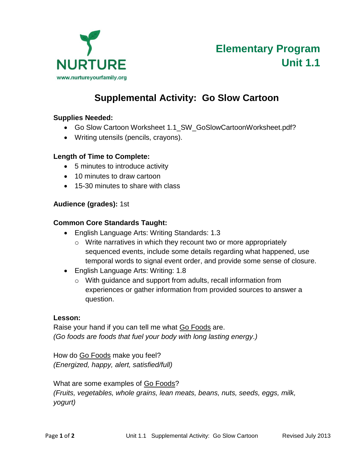

# **Supplemental Activity: Go Slow Cartoon**

## **Supplies Needed:**

- Go Slow Cartoon Worksheet 1.1\_SW\_GoSlowCartoonWorksheet.pdf?
- Writing utensils (pencils, crayons).

## **Length of Time to Complete:**

- 5 minutes to introduce activity
- 10 minutes to draw cartoon
- 15-30 minutes to share with class

## **Audience (grades):** 1st

## **Common Core Standards Taught:**

- English Language Arts: Writing Standards: 1.3
	- o Write narratives in which they recount two or more appropriately sequenced events, include some details regarding what happened, use temporal words to signal event order, and provide some sense of closure.
- English Language Arts: Writing: 1.8
	- o With guidance and support from adults, recall information from experiences or gather information from provided sources to answer a question.

### **Lesson:**

Raise your hand if you can tell me what Go Foods are. *(Go foods are foods that fuel your body with long lasting energy.)*

How do Go Foods make you feel? *(Energized, happy, alert, satisfied/full)*

What are some examples of Go Foods? *(Fruits, vegetables, whole grains, lean meats, beans, nuts, seeds, eggs, milk, yogurt)*